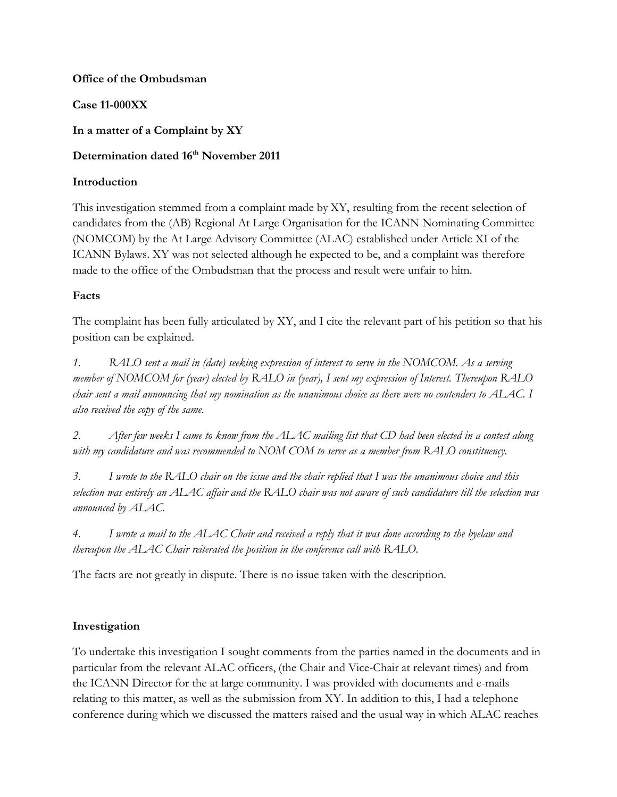### **Office of the Ombudsman**

## **Case 11-000XX**

**In a matter of a Complaint by XY**

# **Determination dated 16th November 2011**

## **Introduction**

This investigation stemmed from a complaint made by XY, resulting from the recent selection of candidates from the (AB) Regional At Large Organisation for the ICANN Nominating Committee (NOMCOM) by the At Large Advisory Committee (ALAC) established under Article XI of the ICANN Bylaws. XY was not selected although he expected to be, and a complaint was therefore made to the office of the Ombudsman that the process and result were unfair to him.

# **Facts**

The complaint has been fully articulated by XY, and I cite the relevant part of his petition so that his position can be explained.

*1. RALO sent a mail in (date) seeking expression of interest to serve in the NOMCOM. As a serving member of NOMCOM for (year) elected by RALO in (year), I sent my expression of Interest. Thereupon RALO chair sent a mail announcing that my nomination as the unanimous choice as there were no contenders to ALAC. I also received the copy of the same.*

*2. After few weeks I came to know from the ALAC mailing list that CD had been elected in a contest along*  with my candidature and was recommended to NOM COM to serve as a member from RALO constituency.

*3. I wrote to the RALO chair on the issue and the chair replied that I was the unanimous choice and this selection was entirely an ALAC affair and the RALO chair was not aware of such candidature till the selection was announced by ALAC.* 

*4. I wrote a mail to the ALAC Chair and received a reply that it was done according to the byelaw and thereupon the ALAC Chair reiterated the position in the conference call with RALO.*

The facts are not greatly in dispute. There is no issue taken with the description.

# **Investigation**

To undertake this investigation I sought comments from the parties named in the documents and in particular from the relevant ALAC officers, (the Chair and Vice-Chair at relevant times) and from the ICANN Director for the at large community. I was provided with documents and e-mails relating to this matter, as well as the submission from XY. In addition to this, I had a telephone conference during which we discussed the matters raised and the usual way in which ALAC reaches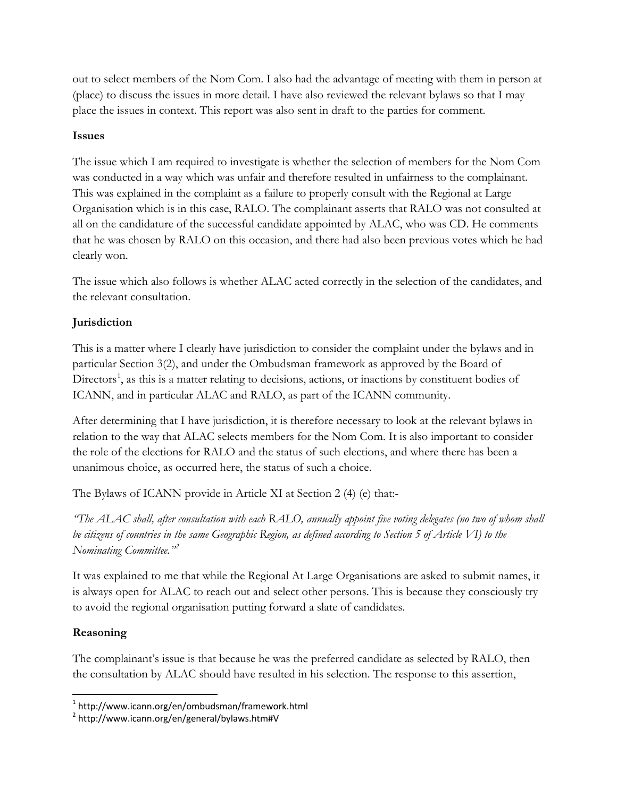out to select members of the Nom Com. I also had the advantage of meeting with them in person at (place) to discuss the issues in more detail. I have also reviewed the relevant bylaws so that I may place the issues in context. This report was also sent in draft to the parties for comment.

### **Issues**

The issue which I am required to investigate is whether the selection of members for the Nom Com was conducted in a way which was unfair and therefore resulted in unfairness to the complainant. This was explained in the complaint as a failure to properly consult with the Regional at Large Organisation which is in this case, RALO. The complainant asserts that RALO was not consulted at all on the candidature of the successful candidate appointed by ALAC, who was CD. He comments that he was chosen by RALO on this occasion, and there had also been previous votes which he had clearly won.

The issue which also follows is whether ALAC acted correctly in the selection of the candidates, and the relevant consultation.

# **Jurisdiction**

This is a matter where I clearly have jurisdiction to consider the complaint under the bylaws and in particular Section 3(2), and under the Ombudsman framework as approved by the Board of Directors<sup>[1](#page-1-0)</sup>, as this is a matter relating to decisions, actions, or inactions by constituent bodies of ICANN, and in particular ALAC and RALO, as part of the ICANN community.

After determining that I have jurisdiction, it is therefore necessary to look at the relevant bylaws in relation to the way that ALAC selects members for the Nom Com. It is also important to consider the role of the elections for RALO and the status of such elections, and where there has been a unanimous choice, as occurred here, the status of such a choice.

The Bylaws of ICANN provide in Article XI at Section 2 (4) (e) that:-

*"The ALAC shall, after consultation with each RALO, annually appoint five voting delegates (no two of whom shall be citizens of countries in the same Geographic Region, as defined according to Section 5 of Article VI) to the Nominating Committee."[2](#page-1-1)*

It was explained to me that while the Regional At Large Organisations are asked to submit names, it is always open for ALAC to reach out and select other persons. This is because they consciously try to avoid the regional organisation putting forward a slate of candidates.

## **Reasoning**

The complainant's issue is that because he was the preferred candidate as selected by RALO, then the consultation by ALAC should have resulted in his selection. The response to this assertion,

<span id="page-1-0"></span> <sup>1</sup> http://www.icann.org/en/ombudsman/framework.html

<span id="page-1-1"></span><sup>2</sup> http://www.icann.org/en/general/bylaws.htm#V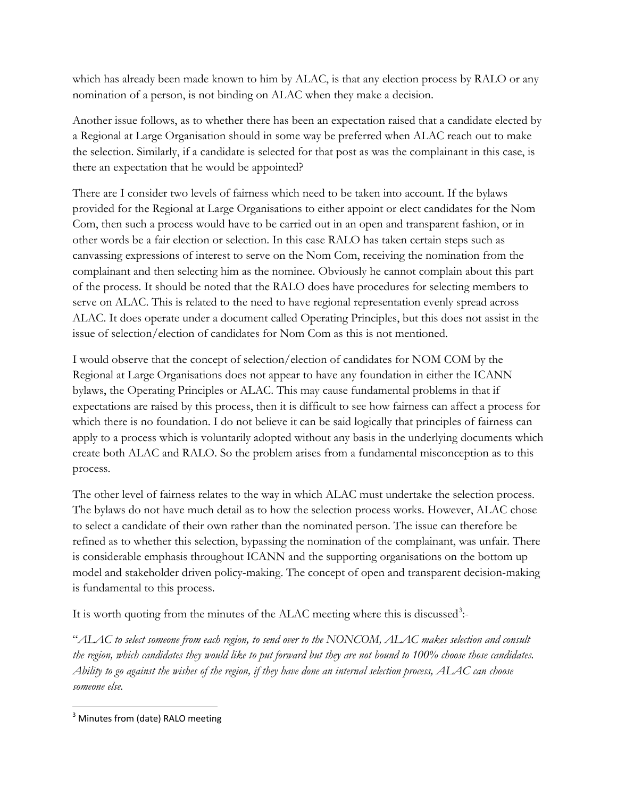which has already been made known to him by ALAC, is that any election process by RALO or any nomination of a person, is not binding on ALAC when they make a decision.

Another issue follows, as to whether there has been an expectation raised that a candidate elected by a Regional at Large Organisation should in some way be preferred when ALAC reach out to make the selection. Similarly, if a candidate is selected for that post as was the complainant in this case, is there an expectation that he would be appointed?

There are I consider two levels of fairness which need to be taken into account. If the bylaws provided for the Regional at Large Organisations to either appoint or elect candidates for the Nom Com, then such a process would have to be carried out in an open and transparent fashion, or in other words be a fair election or selection. In this case RALO has taken certain steps such as canvassing expressions of interest to serve on the Nom Com, receiving the nomination from the complainant and then selecting him as the nominee. Obviously he cannot complain about this part of the process. It should be noted that the RALO does have procedures for selecting members to serve on ALAC. This is related to the need to have regional representation evenly spread across ALAC. It does operate under a document called Operating Principles, but this does not assist in the issue of selection/election of candidates for Nom Com as this is not mentioned.

I would observe that the concept of selection/election of candidates for NOM COM by the Regional at Large Organisations does not appear to have any foundation in either the ICANN bylaws, the Operating Principles or ALAC. This may cause fundamental problems in that if expectations are raised by this process, then it is difficult to see how fairness can affect a process for which there is no foundation. I do not believe it can be said logically that principles of fairness can apply to a process which is voluntarily adopted without any basis in the underlying documents which create both ALAC and RALO. So the problem arises from a fundamental misconception as to this process.

The other level of fairness relates to the way in which ALAC must undertake the selection process. The bylaws do not have much detail as to how the selection process works. However, ALAC chose to select a candidate of their own rather than the nominated person. The issue can therefore be refined as to whether this selection, bypassing the nomination of the complainant, was unfair. There is considerable emphasis throughout ICANN and the supporting organisations on the bottom up model and stakeholder driven policy-making. The concept of open and transparent decision-making is fundamental to this process.

It is worth quoting from the minutes of the ALAC meeting where this is discussed<sup>[3](#page-2-0)</sup>:-

"*ALAC to select someone from each region, to send over to the NONCOM, ALAC makes selection and consult the region, which candidates they would like to put forward but they are not bound to 100% choose those candidates. Ability to go against the wishes of the region, if they have done an internal selection process, ALAC can choose someone else.*

<span id="page-2-0"></span><sup>&</sup>lt;sup>3</sup> Minutes from (date) RALO meeting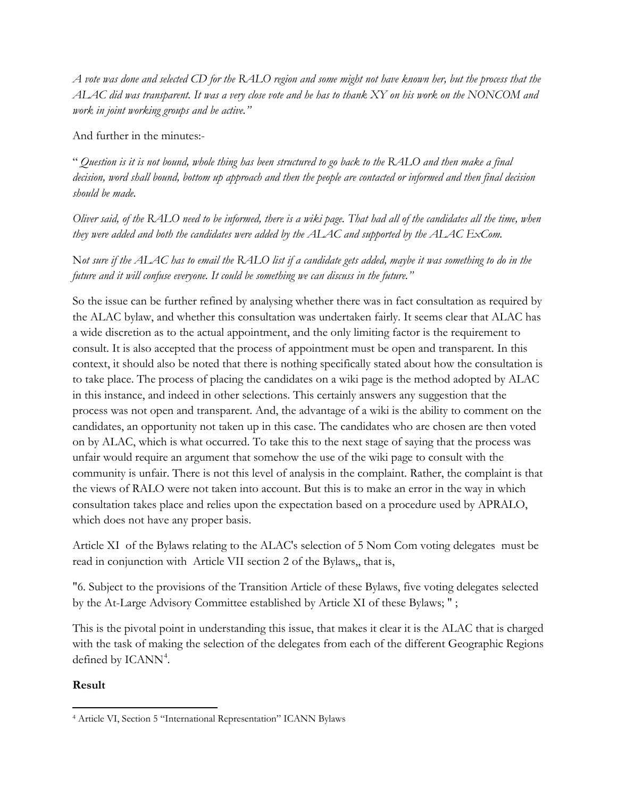*A vote was done and selected CD for the RALO region and some might not have known her, but the process that the ALAC did was transparent. It was a very close vote and he has to thank XY on his work on the NONCOM and work in joint working groups and be active."*

And further in the minutes:-

" *Question is it is not bound, whole thing has been structured to go back to the RALO and then make a final decision, word shall bound, bottom up approach and then the people are contacted or informed and then final decision should be made.*

*Oliver said, of the RALO need to be informed, there is a wiki page. That had all of the candidates all the time, when they were added and both the candidates were added by the ALAC and supported by the ALAC ExCom.*

N*ot sure if the ALAC has to email the RALO list if a candidate gets added, maybe it was something to do in the future and it will confuse everyone. It could be something we can discuss in the future."*

So the issue can be further refined by analysing whether there was in fact consultation as required by the ALAC bylaw, and whether this consultation was undertaken fairly. It seems clear that ALAC has a wide discretion as to the actual appointment, and the only limiting factor is the requirement to consult. It is also accepted that the process of appointment must be open and transparent. In this context, it should also be noted that there is nothing specifically stated about how the consultation is to take place. The process of placing the candidates on a wiki page is the method adopted by ALAC in this instance, and indeed in other selections. This certainly answers any suggestion that the process was not open and transparent. And, the advantage of a wiki is the ability to comment on the candidates, an opportunity not taken up in this case. The candidates who are chosen are then voted on by ALAC, which is what occurred. To take this to the next stage of saying that the process was unfair would require an argument that somehow the use of the wiki page to consult with the community is unfair. There is not this level of analysis in the complaint. Rather, the complaint is that the views of RALO were not taken into account. But this is to make an error in the way in which consultation takes place and relies upon the expectation based on a procedure used by APRALO, which does not have any proper basis.

Article XI of the Bylaws relating to the ALAC's selection of 5 Nom Com voting delegates must be read in conjunction with Article VII section 2 of the Bylaws,, that is,

"6. Subject to the provisions of the Transition Article of these Bylaws, five voting delegates selected by the At-Large Advisory Committee established by Article XI of these Bylaws; " ;

This is the pivotal point in understanding this issue, that makes it clear it is the ALAC that is charged with the task of making the selection of the delegates from each of the different Geographic Regions defined by ICANN<sup>[4](#page-3-0)</sup>.

## **Result**

<span id="page-3-0"></span>l <sup>4</sup> Article VI, Section 5 "International Representation" ICANN Bylaws